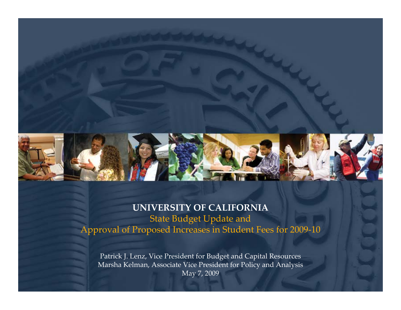

### **UNIVERSITY OF CALIFORNIA** State Budget Update and Approval of Proposed Increases in Student Fees for 2009‐10

Patrick J. Lenz, Vice President for Budget and Capital Resources Marsha Kelman, Associate Vice President for Policy and Analysis May 7, 2009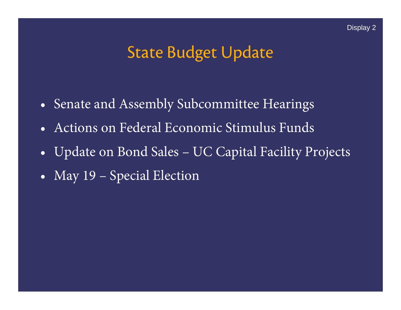## State Budget Update

- •Senate and Assembly Subcommittee Hearings
- •Actions on Federal Economic Stimulus Funds
- $\bullet$ Update on Bond Sales – UC Capital Facility Projects
- •May 19 – Special Election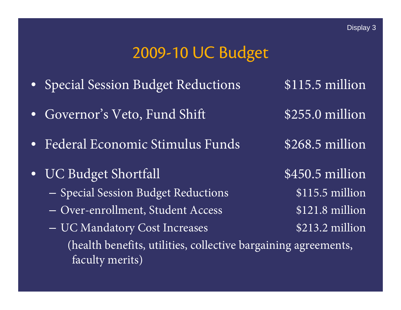### 2009-10 UC Budget

- $\bullet$ Special Session Budget Reductions \$115.5 million
- •Governor's Veto, Fund Shift \$255.0 million
- •Federal Economic Stimulus Funds \$268.5 million
- $\bullet$ UC Budget Shortfall \$450.5 million
	- Special Session Budget Reductions \$115.5 million
	- Over-enrollment, Student Access \$121.8 million
	- UC Mandatory Cost Increases \$213.2 million (health benefits, utilities, collective bargaining agreements, faculty merits)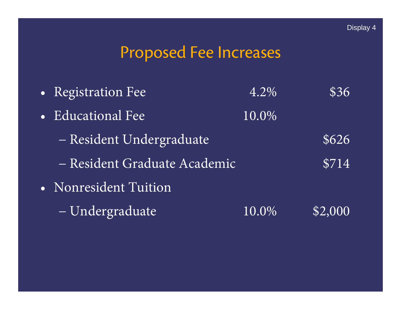### Proposed Fee Increases

•Registration Fee  $4.2\%$  \$36 • Educational Fee  $10.0\%$ Resident Undergraduate  $$626$ Resident Graduate Academic \$714 • Nonresident Tuition Undergraduate 10.0% \$2,000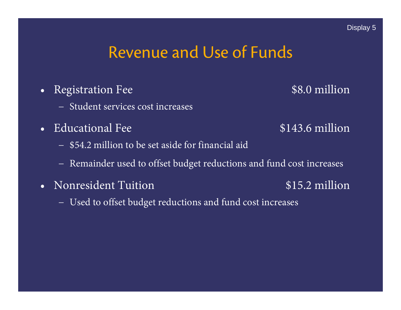### Revenue and Use of Funds

- •Registration Fee \$8.0 million
	- − Student services cost increases
- Educational Fee \$143.6 million
	- − \$54.2 million to be set aside for financial aid
	- Remainder used to offset budget reductions and fund cost increases
- Nonresident Tuition \$15.2 million
	- Used to offset budget reductions and fund cost increases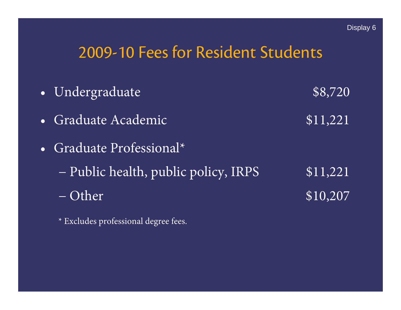### 2009-10 Fees for Resident Students

| • Undergraduate                      | \$8,720        |
|--------------------------------------|----------------|
| · Graduate Academic                  | \$11,221       |
| • Graduate Professional*             |                |
| - Public health, public policy, IRPS | $\sqrt{1,221}$ |
| – Other                              | \$10,207       |

\* Excludes professional degree fees.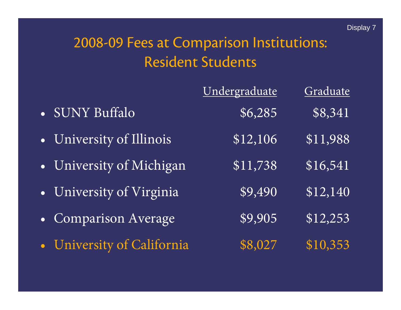# 2008-09 Fees at Comparison Institutions: Resident Students

|                            | Undergraduate | Graduate         |
|----------------------------|---------------|------------------|
| · SUNY Buffalo             | \$6,285       | \$8,341          |
| · University of Illinois   | \$12,106      | \$11,988         |
| • University of Michigan   | \$11,738      | \$16,541         |
| · University of Virginia   | \$9,490       | \$12,140         |
| • Comparison Average       | \$9,905       | \$12,253         |
| • University of California | \$8,027       | $\sqrt{510,353}$ |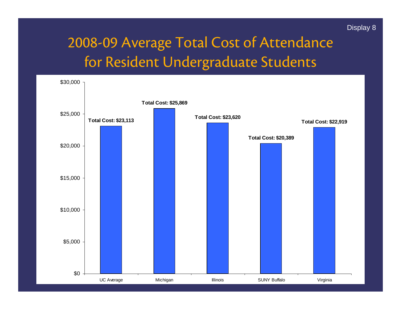### Display 8

### 2008-09 Average Total Cost of Attendance for Resident Undergraduate Students

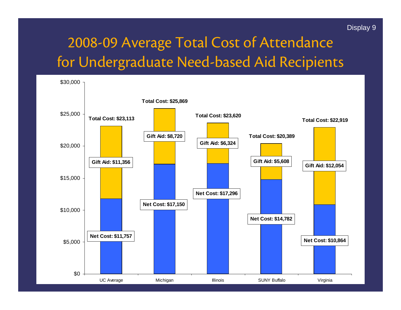#### Display 9

### 2008-09 Average Total Cost of Attendance for Undergraduate Need-based Aid Recipients

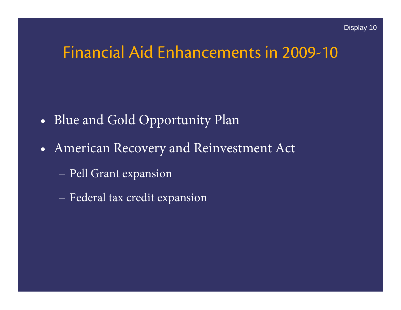### Financial Aid Enhancements in 2009-10

- •Blue and Gold Opportunity Plan
- • American Recovery and Reinvestment Act
	- Pell Grant expansion
	- Federal tax credit expansion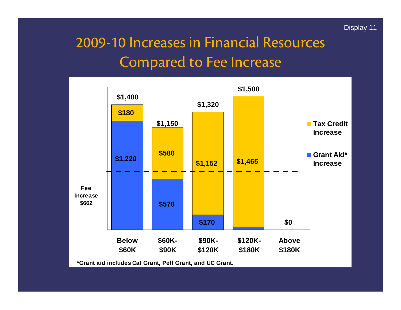### 2009-10 Increases in Financial Resources Compared to Fee Increase